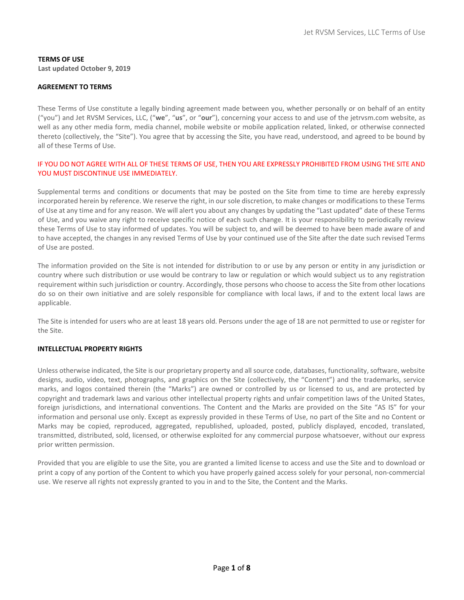# TERMS OF USE

Last updated October 9, 2019

# AGREEMENT TO TERMS

These Terms of Use constitute a legally binding agreement made between you, whether personally or on behalf of an entity ("you") and Jet RVSM Services, LLC, ("we", "us", or "our"), concerning your access to and use of the jetrvsm.com website, as well as any other media form, media channel, mobile website or mobile application related, linked, or otherwise connected thereto (collectively, the "Site"). You agree that by accessing the Site, you have read, understood, and agreed to be bound by all of these Terms of Use.

# IF YOU DO NOT AGREE WITH ALL OF THESE TERMS OF USE, THEN YOU ARE EXPRESSLY PROHIBITED FROM USING THE SITE AND YOU MUST DISCONTINUE USE IMMEDIATELY.

Supplemental terms and conditions or documents that may be posted on the Site from time to time are hereby expressly incorporated herein by reference. We reserve the right, in our sole discretion, to make changes or modifications to these Terms of Use at any time and for any reason. We will alert you about any changes by updating the "Last updated" date of these Terms of Use, and you waive any right to receive specific notice of each such change. It is your responsibility to periodically review these Terms of Use to stay informed of updates. You will be subject to, and will be deemed to have been made aware of and to have accepted, the changes in any revised Terms of Use by your continued use of the Site after the date such revised Terms of Use are posted.

The information provided on the Site is not intended for distribution to or use by any person or entity in any jurisdiction or country where such distribution or use would be contrary to law or regulation or which would subject us to any registration requirement within such jurisdiction or country. Accordingly, those persons who choose to access the Site from other locations do so on their own initiative and are solely responsible for compliance with local laws, if and to the extent local laws are applicable.

The Site is intended for users who are at least 18 years old. Persons under the age of 18 are not permitted to use or register for the Site.

# INTELLECTUAL PROPERTY RIGHTS

Unless otherwise indicated, the Site is our proprietary property and all source code, databases, functionality, software, website designs, audio, video, text, photographs, and graphics on the Site (collectively, the "Content") and the trademarks, service marks, and logos contained therein (the "Marks") are owned or controlled by us or licensed to us, and are protected by copyright and trademark laws and various other intellectual property rights and unfair competition laws of the United States, foreign jurisdictions, and international conventions. The Content and the Marks are provided on the Site "AS IS" for your information and personal use only. Except as expressly provided in these Terms of Use, no part of the Site and no Content or Marks may be copied, reproduced, aggregated, republished, uploaded, posted, publicly displayed, encoded, translated, transmitted, distributed, sold, licensed, or otherwise exploited for any commercial purpose whatsoever, without our express prior written permission.

Provided that you are eligible to use the Site, you are granted a limited license to access and use the Site and to download or print a copy of any portion of the Content to which you have properly gained access solely for your personal, non-commercial use. We reserve all rights not expressly granted to you in and to the Site, the Content and the Marks.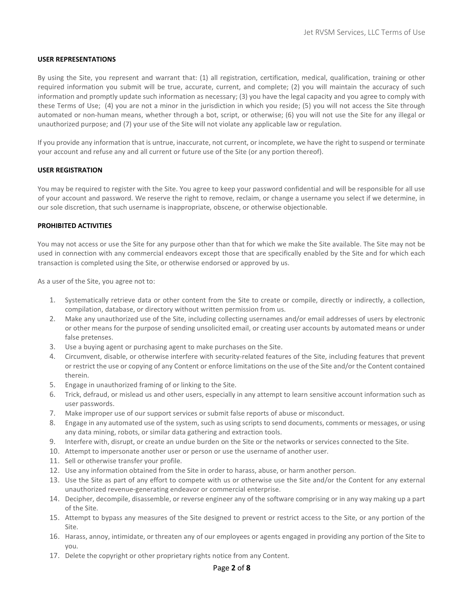## USER REPRESENTATIONS

By using the Site, you represent and warrant that: (1) all registration, certification, medical, qualification, training or other required information you submit will be true, accurate, current, and complete; (2) you will maintain the accuracy of such information and promptly update such information as necessary; (3) you have the legal capacity and you agree to comply with these Terms of Use; (4) you are not a minor in the jurisdiction in which you reside; (5) you will not access the Site through automated or non-human means, whether through a bot, script, or otherwise; (6) you will not use the Site for any illegal or unauthorized purpose; and (7) your use of the Site will not violate any applicable law or regulation.

If you provide any information that is untrue, inaccurate, not current, or incomplete, we have the right to suspend or terminate your account and refuse any and all current or future use of the Site (or any portion thereof).

## USER REGISTRATION

You may be required to register with the Site. You agree to keep your password confidential and will be responsible for all use of your account and password. We reserve the right to remove, reclaim, or change a username you select if we determine, in our sole discretion, that such username is inappropriate, obscene, or otherwise objectionable.

## PROHIBITED ACTIVITIES

You may not access or use the Site for any purpose other than that for which we make the Site available. The Site may not be used in connection with any commercial endeavors except those that are specifically enabled by the Site and for which each transaction is completed using the Site, or otherwise endorsed or approved by us.

As a user of the Site, you agree not to:

- 1. Systematically retrieve data or other content from the Site to create or compile, directly or indirectly, a collection, compilation, database, or directory without written permission from us.
- 2. Make any unauthorized use of the Site, including collecting usernames and/or email addresses of users by electronic or other means for the purpose of sending unsolicited email, or creating user accounts by automated means or under false pretenses.
- 3. Use a buying agent or purchasing agent to make purchases on the Site.
- 4. Circumvent, disable, or otherwise interfere with security-related features of the Site, including features that prevent or restrict the use or copying of any Content or enforce limitations on the use of the Site and/or the Content contained therein.
- 5. Engage in unauthorized framing of or linking to the Site.
- 6. Trick, defraud, or mislead us and other users, especially in any attempt to learn sensitive account information such as user passwords.
- 7. Make improper use of our support services or submit false reports of abuse or misconduct.
- 8. Engage in any automated use of the system, such as using scripts to send documents, comments or messages, or using any data mining, robots, or similar data gathering and extraction tools.
- 9. Interfere with, disrupt, or create an undue burden on the Site or the networks or services connected to the Site.
- 10. Attempt to impersonate another user or person or use the username of another user.
- 11. Sell or otherwise transfer your profile.
- 12. Use any information obtained from the Site in order to harass, abuse, or harm another person.
- 13. Use the Site as part of any effort to compete with us or otherwise use the Site and/or the Content for any external unauthorized revenue-generating endeavor or commercial enterprise.
- 14. Decipher, decompile, disassemble, or reverse engineer any of the software comprising or in any way making up a part of the Site.
- 15. Attempt to bypass any measures of the Site designed to prevent or restrict access to the Site, or any portion of the Site.
- 16. Harass, annoy, intimidate, or threaten any of our employees or agents engaged in providing any portion of the Site to you.
- 17. Delete the copyright or other proprietary rights notice from any Content.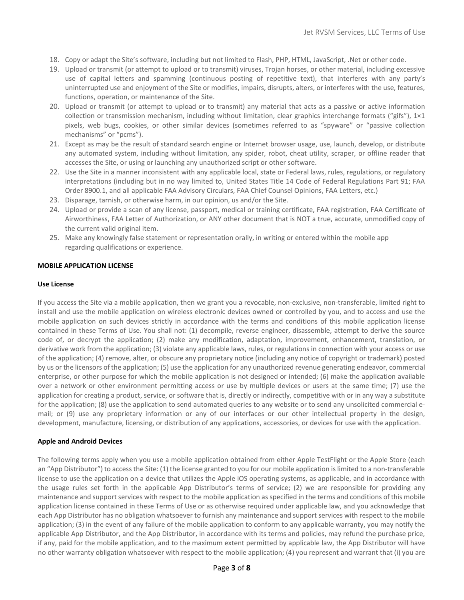- 18. Copy or adapt the Site's software, including but not limited to Flash, PHP, HTML, JavaScript, .Net or other code.
- 19. Upload or transmit (or attempt to upload or to transmit) viruses, Trojan horses, or other material, including excessive use of capital letters and spamming (continuous posting of repetitive text), that interferes with any party's uninterrupted use and enjoyment of the Site or modifies, impairs, disrupts, alters, or interferes with the use, features, functions, operation, or maintenance of the Site.
- 20. Upload or transmit (or attempt to upload or to transmit) any material that acts as a passive or active information collection or transmission mechanism, including without limitation, clear graphics interchange formats ("gifs"), 1×1 pixels, web bugs, cookies, or other similar devices (sometimes referred to as "spyware" or "passive collection mechanisms" or "pcms").
- 21. Except as may be the result of standard search engine or Internet browser usage, use, launch, develop, or distribute any automated system, including without limitation, any spider, robot, cheat utility, scraper, or offline reader that accesses the Site, or using or launching any unauthorized script or other software.
- 22. Use the Site in a manner inconsistent with any applicable local, state or Federal laws, rules, regulations, or regulatory interpretations (including but in no way limited to, United States Title 14 Code of Federal Regulations Part 91; FAA Order 8900.1, and all applicable FAA Advisory Circulars, FAA Chief Counsel Opinions, FAA Letters, etc.)
- 23. Disparage, tarnish, or otherwise harm, in our opinion, us and/or the Site.
- 24. Upload or provide a scan of any license, passport, medical or training certificate, FAA registration, FAA Certificate of Airworthiness, FAA Letter of Authorization, or ANY other document that is NOT a true, accurate, unmodified copy of the current valid original item.
- 25. Make any knowingly false statement or representation orally, in writing or entered within the mobile app regarding qualifications or experience.

#### MOBILE APPLICATION LICENSE

#### Use License

If you access the Site via a mobile application, then we grant you a revocable, non-exclusive, non-transferable, limited right to install and use the mobile application on wireless electronic devices owned or controlled by you, and to access and use the mobile application on such devices strictly in accordance with the terms and conditions of this mobile application license contained in these Terms of Use. You shall not: (1) decompile, reverse engineer, disassemble, attempt to derive the source code of, or decrypt the application; (2) make any modification, adaptation, improvement, enhancement, translation, or derivative work from the application; (3) violate any applicable laws, rules, or regulations in connection with your access or use of the application; (4) remove, alter, or obscure any proprietary notice (including any notice of copyright or trademark) posted by us or the licensors of the application; (5) use the application for any unauthorized revenue generating endeavor, commercial enterprise, or other purpose for which the mobile application is not designed or intended; (6) make the application available over a network or other environment permitting access or use by multiple devices or users at the same time; (7) use the application for creating a product, service, or software that is, directly or indirectly, competitive with or in any way a substitute for the application; (8) use the application to send automated queries to any website or to send any unsolicited commercial email; or (9) use any proprietary information or any of our interfaces or our other intellectual property in the design, development, manufacture, licensing, or distribution of any applications, accessories, or devices for use with the application.

#### Apple and Android Devices

The following terms apply when you use a mobile application obtained from either Apple TestFlight or the Apple Store (each an "App Distributor") to access the Site: (1) the license granted to you for our mobile application is limited to a non-transferable license to use the application on a device that utilizes the Apple iOS operating systems, as applicable, and in accordance with the usage rules set forth in the applicable App Distributor's terms of service; (2) we are responsible for providing any maintenance and support services with respect to the mobile application as specified in the terms and conditions of this mobile application license contained in these Terms of Use or as otherwise required under applicable law, and you acknowledge that each App Distributor has no obligation whatsoever to furnish any maintenance and support services with respect to the mobile application; (3) in the event of any failure of the mobile application to conform to any applicable warranty, you may notify the applicable App Distributor, and the App Distributor, in accordance with its terms and policies, may refund the purchase price, if any, paid for the mobile application, and to the maximum extent permitted by applicable law, the App Distributor will have no other warranty obligation whatsoever with respect to the mobile application; (4) you represent and warrant that (i) you are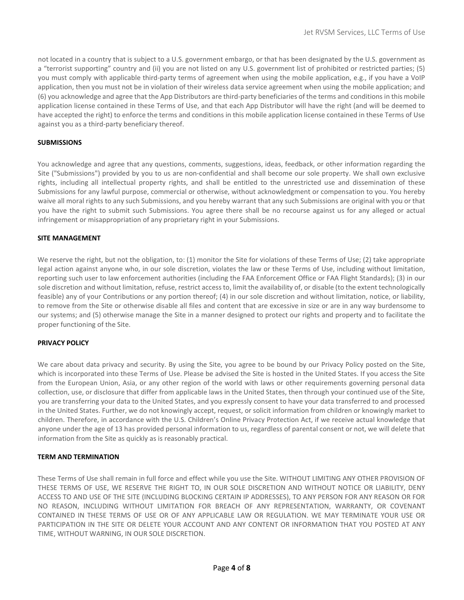not located in a country that is subject to a U.S. government embargo, or that has been designated by the U.S. government as a "terrorist supporting" country and (ii) you are not listed on any U.S. government list of prohibited or restricted parties; (5) you must comply with applicable third-party terms of agreement when using the mobile application, e.g., if you have a VoIP application, then you must not be in violation of their wireless data service agreement when using the mobile application; and (6) you acknowledge and agree that the App Distributors are third-party beneficiaries of the terms and conditions in this mobile application license contained in these Terms of Use, and that each App Distributor will have the right (and will be deemed to have accepted the right) to enforce the terms and conditions in this mobile application license contained in these Terms of Use against you as a third-party beneficiary thereof.

## **SUBMISSIONS**

You acknowledge and agree that any questions, comments, suggestions, ideas, feedback, or other information regarding the Site ("Submissions") provided by you to us are non-confidential and shall become our sole property. We shall own exclusive rights, including all intellectual property rights, and shall be entitled to the unrestricted use and dissemination of these Submissions for any lawful purpose, commercial or otherwise, without acknowledgment or compensation to you. You hereby waive all moral rights to any such Submissions, and you hereby warrant that any such Submissions are original with you or that you have the right to submit such Submissions. You agree there shall be no recourse against us for any alleged or actual infringement or misappropriation of any proprietary right in your Submissions.

## SITE MANAGEMENT

We reserve the right, but not the obligation, to: (1) monitor the Site for violations of these Terms of Use; (2) take appropriate legal action against anyone who, in our sole discretion, violates the law or these Terms of Use, including without limitation, reporting such user to law enforcement authorities (including the FAA Enforcement Office or FAA Flight Standards); (3) in our sole discretion and without limitation, refuse, restrict access to, limit the availability of, or disable (to the extent technologically feasible) any of your Contributions or any portion thereof; (4) in our sole discretion and without limitation, notice, or liability, to remove from the Site or otherwise disable all files and content that are excessive in size or are in any way burdensome to our systems; and (5) otherwise manage the Site in a manner designed to protect our rights and property and to facilitate the proper functioning of the Site.

## PRIVACY POLICY

We care about data privacy and security. By using the Site, you agree to be bound by our Privacy Policy posted on the Site, which is incorporated into these Terms of Use. Please be advised the Site is hosted in the United States. If you access the Site from the European Union, Asia, or any other region of the world with laws or other requirements governing personal data collection, use, or disclosure that differ from applicable laws in the United States, then through your continued use of the Site, you are transferring your data to the United States, and you expressly consent to have your data transferred to and processed in the United States. Further, we do not knowingly accept, request, or solicit information from children or knowingly market to children. Therefore, in accordance with the U.S. Children's Online Privacy Protection Act, if we receive actual knowledge that anyone under the age of 13 has provided personal information to us, regardless of parental consent or not, we will delete that information from the Site as quickly as is reasonably practical.

#### TERM AND TERMINATION

These Terms of Use shall remain in full force and effect while you use the Site. WITHOUT LIMITING ANY OTHER PROVISION OF THESE TERMS OF USE, WE RESERVE THE RIGHT TO, IN OUR SOLE DISCRETION AND WITHOUT NOTICE OR LIABILITY, DENY ACCESS TO AND USE OF THE SITE (INCLUDING BLOCKING CERTAIN IP ADDRESSES), TO ANY PERSON FOR ANY REASON OR FOR NO REASON, INCLUDING WITHOUT LIMITATION FOR BREACH OF ANY REPRESENTATION, WARRANTY, OR COVENANT CONTAINED IN THESE TERMS OF USE OR OF ANY APPLICABLE LAW OR REGULATION. WE MAY TERMINATE YOUR USE OR PARTICIPATION IN THE SITE OR DELETE YOUR ACCOUNT AND ANY CONTENT OR INFORMATION THAT YOU POSTED AT ANY TIME, WITHOUT WARNING, IN OUR SOLE DISCRETION.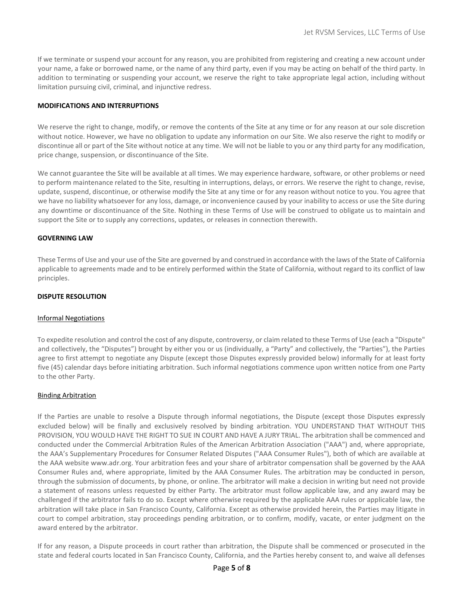If we terminate or suspend your account for any reason, you are prohibited from registering and creating a new account under your name, a fake or borrowed name, or the name of any third party, even if you may be acting on behalf of the third party. In addition to terminating or suspending your account, we reserve the right to take appropriate legal action, including without limitation pursuing civil, criminal, and injunctive redress.

#### MODIFICATIONS AND INTERRUPTIONS

We reserve the right to change, modify, or remove the contents of the Site at any time or for any reason at our sole discretion without notice. However, we have no obligation to update any information on our Site. We also reserve the right to modify or discontinue all or part of the Site without notice at any time. We will not be liable to you or any third party for any modification, price change, suspension, or discontinuance of the Site.

We cannot guarantee the Site will be available at all times. We may experience hardware, software, or other problems or need to perform maintenance related to the Site, resulting in interruptions, delays, or errors. We reserve the right to change, revise, update, suspend, discontinue, or otherwise modify the Site at any time or for any reason without notice to you. You agree that we have no liability whatsoever for any loss, damage, or inconvenience caused by your inability to access or use the Site during any downtime or discontinuance of the Site. Nothing in these Terms of Use will be construed to obligate us to maintain and support the Site or to supply any corrections, updates, or releases in connection therewith.

## GOVERNING LAW

These Terms of Use and your use of the Site are governed by and construed in accordance with the laws of the State of California applicable to agreements made and to be entirely performed within the State of California, without regard to its conflict of law principles.

# DISPUTE RESOLUTION

#### Informal Negotiations

To expedite resolution and control the cost of any dispute, controversy, or claim related to these Terms of Use (each a "Dispute" and collectively, the "Disputes") brought by either you or us (individually, a "Party" and collectively, the "Parties"), the Parties agree to first attempt to negotiate any Dispute (except those Disputes expressly provided below) informally for at least forty five (45) calendar days before initiating arbitration. Such informal negotiations commence upon written notice from one Party to the other Party.

#### Binding Arbitration

If the Parties are unable to resolve a Dispute through informal negotiations, the Dispute (except those Disputes expressly excluded below) will be finally and exclusively resolved by binding arbitration. YOU UNDERSTAND THAT WITHOUT THIS PROVISION, YOU WOULD HAVE THE RIGHT TO SUE IN COURT AND HAVE A JURY TRIAL. The arbitration shall be commenced and conducted under the Commercial Arbitration Rules of the American Arbitration Association ("AAA") and, where appropriate, the AAA's Supplementary Procedures for Consumer Related Disputes ("AAA Consumer Rules"), both of which are available at the AAA website www.adr.org. Your arbitration fees and your share of arbitrator compensation shall be governed by the AAA Consumer Rules and, where appropriate, limited by the AAA Consumer Rules. The arbitration may be conducted in person, through the submission of documents, by phone, or online. The arbitrator will make a decision in writing but need not provide a statement of reasons unless requested by either Party. The arbitrator must follow applicable law, and any award may be challenged if the arbitrator fails to do so. Except where otherwise required by the applicable AAA rules or applicable law, the arbitration will take place in San Francisco County, California. Except as otherwise provided herein, the Parties may litigate in court to compel arbitration, stay proceedings pending arbitration, or to confirm, modify, vacate, or enter judgment on the award entered by the arbitrator.

If for any reason, a Dispute proceeds in court rather than arbitration, the Dispute shall be commenced or prosecuted in the state and federal courts located in San Francisco County, California, and the Parties hereby consent to, and waive all defenses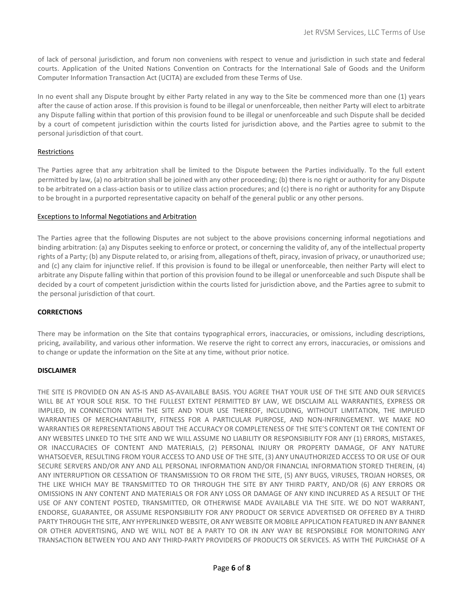of lack of personal jurisdiction, and forum non conveniens with respect to venue and jurisdiction in such state and federal courts. Application of the United Nations Convention on Contracts for the International Sale of Goods and the Uniform Computer Information Transaction Act (UCITA) are excluded from these Terms of Use.

In no event shall any Dispute brought by either Party related in any way to the Site be commenced more than one (1) years after the cause of action arose. If this provision is found to be illegal or unenforceable, then neither Party will elect to arbitrate any Dispute falling within that portion of this provision found to be illegal or unenforceable and such Dispute shall be decided by a court of competent jurisdiction within the courts listed for jurisdiction above, and the Parties agree to submit to the personal jurisdiction of that court.

# Restrictions

The Parties agree that any arbitration shall be limited to the Dispute between the Parties individually. To the full extent permitted by law, (a) no arbitration shall be joined with any other proceeding; (b) there is no right or authority for any Dispute to be arbitrated on a class-action basis or to utilize class action procedures; and (c) there is no right or authority for any Dispute to be brought in a purported representative capacity on behalf of the general public or any other persons.

## Exceptions to Informal Negotiations and Arbitration

The Parties agree that the following Disputes are not subject to the above provisions concerning informal negotiations and binding arbitration: (a) any Disputes seeking to enforce or protect, or concerning the validity of, any of the intellectual property rights of a Party; (b) any Dispute related to, or arising from, allegations of theft, piracy, invasion of privacy, or unauthorized use; and (c) any claim for injunctive relief. If this provision is found to be illegal or unenforceable, then neither Party will elect to arbitrate any Dispute falling within that portion of this provision found to be illegal or unenforceable and such Dispute shall be decided by a court of competent jurisdiction within the courts listed for jurisdiction above, and the Parties agree to submit to the personal jurisdiction of that court.

# **CORRECTIONS**

There may be information on the Site that contains typographical errors, inaccuracies, or omissions, including descriptions, pricing, availability, and various other information. We reserve the right to correct any errors, inaccuracies, or omissions and to change or update the information on the Site at any time, without prior notice.

# DISCLAIMER

THE SITE IS PROVIDED ON AN AS-IS AND AS-AVAILABLE BASIS. YOU AGREE THAT YOUR USE OF THE SITE AND OUR SERVICES WILL BE AT YOUR SOLE RISK. TO THE FULLEST EXTENT PERMITTED BY LAW, WE DISCLAIM ALL WARRANTIES, EXPRESS OR IMPLIED, IN CONNECTION WITH THE SITE AND YOUR USE THEREOF, INCLUDING, WITHOUT LIMITATION, THE IMPLIED WARRANTIES OF MERCHANTABILITY, FITNESS FOR A PARTICULAR PURPOSE, AND NON-INFRINGEMENT. WE MAKE NO WARRANTIES OR REPRESENTATIONS ABOUT THE ACCURACY OR COMPLETENESS OF THE SITE'S CONTENT OR THE CONTENT OF ANY WEBSITES LINKED TO THE SITE AND WE WILL ASSUME NO LIABILITY OR RESPONSIBILITY FOR ANY (1) ERRORS, MISTAKES, OR INACCURACIES OF CONTENT AND MATERIALS, (2) PERSONAL INJURY OR PROPERTY DAMAGE, OF ANY NATURE WHATSOEVER, RESULTING FROM YOUR ACCESS TO AND USE OF THE SITE, (3) ANY UNAUTHORIZED ACCESS TO OR USE OF OUR SECURE SERVERS AND/OR ANY AND ALL PERSONAL INFORMATION AND/OR FINANCIAL INFORMATION STORED THEREIN, (4) ANY INTERRUPTION OR CESSATION OF TRANSMISSION TO OR FROM THE SITE, (5) ANY BUGS, VIRUSES, TROJAN HORSES, OR THE LIKE WHICH MAY BE TRANSMITTED TO OR THROUGH THE SITE BY ANY THIRD PARTY, AND/OR (6) ANY ERRORS OR OMISSIONS IN ANY CONTENT AND MATERIALS OR FOR ANY LOSS OR DAMAGE OF ANY KIND INCURRED AS A RESULT OF THE USE OF ANY CONTENT POSTED, TRANSMITTED, OR OTHERWISE MADE AVAILABLE VIA THE SITE. WE DO NOT WARRANT, ENDORSE, GUARANTEE, OR ASSUME RESPONSIBILITY FOR ANY PRODUCT OR SERVICE ADVERTISED OR OFFERED BY A THIRD PARTY THROUGH THE SITE, ANY HYPERLINKED WEBSITE, OR ANY WEBSITE OR MOBILE APPLICATION FEATURED IN ANY BANNER OR OTHER ADVERTISING, AND WE WILL NOT BE A PARTY TO OR IN ANY WAY BE RESPONSIBLE FOR MONITORING ANY TRANSACTION BETWEEN YOU AND ANY THIRD-PARTY PROVIDERS OF PRODUCTS OR SERVICES. AS WITH THE PURCHASE OF A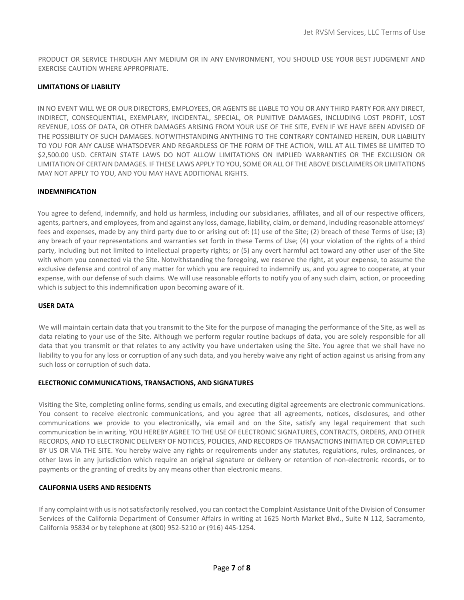PRODUCT OR SERVICE THROUGH ANY MEDIUM OR IN ANY ENVIRONMENT, YOU SHOULD USE YOUR BEST JUDGMENT AND EXERCISE CAUTION WHERE APPROPRIATE.

# LIMITATIONS OF LIABILITY

IN NO EVENT WILL WE OR OUR DIRECTORS, EMPLOYEES, OR AGENTS BE LIABLE TO YOU OR ANY THIRD PARTY FOR ANY DIRECT, INDIRECT, CONSEQUENTIAL, EXEMPLARY, INCIDENTAL, SPECIAL, OR PUNITIVE DAMAGES, INCLUDING LOST PROFIT, LOST REVENUE, LOSS OF DATA, OR OTHER DAMAGES ARISING FROM YOUR USE OF THE SITE, EVEN IF WE HAVE BEEN ADVISED OF THE POSSIBILITY OF SUCH DAMAGES. NOTWITHSTANDING ANYTHING TO THE CONTRARY CONTAINED HEREIN, OUR LIABILITY TO YOU FOR ANY CAUSE WHATSOEVER AND REGARDLESS OF THE FORM OF THE ACTION, WILL AT ALL TIMES BE LIMITED TO \$2,500.00 USD. CERTAIN STATE LAWS DO NOT ALLOW LIMITATIONS ON IMPLIED WARRANTIES OR THE EXCLUSION OR LIMITATION OF CERTAIN DAMAGES. IF THESE LAWS APPLY TO YOU, SOME OR ALL OF THE ABOVE DISCLAIMERS OR LIMITATIONS MAY NOT APPLY TO YOU, AND YOU MAY HAVE ADDITIONAL RIGHTS.

# INDEMNIFICATION

You agree to defend, indemnify, and hold us harmless, including our subsidiaries, affiliates, and all of our respective officers, agents, partners, and employees, from and against any loss, damage, liability, claim, or demand, including reasonable attorneys' fees and expenses, made by any third party due to or arising out of: (1) use of the Site; (2) breach of these Terms of Use; (3) any breach of your representations and warranties set forth in these Terms of Use; (4) your violation of the rights of a third party, including but not limited to intellectual property rights; or (5) any overt harmful act toward any other user of the Site with whom you connected via the Site. Notwithstanding the foregoing, we reserve the right, at your expense, to assume the exclusive defense and control of any matter for which you are required to indemnify us, and you agree to cooperate, at your expense, with our defense of such claims. We will use reasonable efforts to notify you of any such claim, action, or proceeding which is subject to this indemnification upon becoming aware of it.

# USER DATA

We will maintain certain data that you transmit to the Site for the purpose of managing the performance of the Site, as well as data relating to your use of the Site. Although we perform regular routine backups of data, you are solely responsible for all data that you transmit or that relates to any activity you have undertaken using the Site. You agree that we shall have no liability to you for any loss or corruption of any such data, and you hereby waive any right of action against us arising from any such loss or corruption of such data.

# ELECTRONIC COMMUNICATIONS, TRANSACTIONS, AND SIGNATURES

Visiting the Site, completing online forms, sending us emails, and executing digital agreements are electronic communications. You consent to receive electronic communications, and you agree that all agreements, notices, disclosures, and other communications we provide to you electronically, via email and on the Site, satisfy any legal requirement that such communication be in writing. YOU HEREBY AGREE TO THE USE OF ELECTRONIC SIGNATURES, CONTRACTS, ORDERS, AND OTHER RECORDS, AND TO ELECTRONIC DELIVERY OF NOTICES, POLICIES, AND RECORDS OF TRANSACTIONS INITIATED OR COMPLETED BY US OR VIA THE SITE. You hereby waive any rights or requirements under any statutes, regulations, rules, ordinances, or other laws in any jurisdiction which require an original signature or delivery or retention of non-electronic records, or to payments or the granting of credits by any means other than electronic means.

# CALIFORNIA USERS AND RESIDENTS

If any complaint with us is not satisfactorily resolved, you can contact the Complaint Assistance Unit of the Division of Consumer Services of the California Department of Consumer Affairs in writing at 1625 North Market Blvd., Suite N 112, Sacramento, California 95834 or by telephone at (800) 952-5210 or (916) 445-1254.